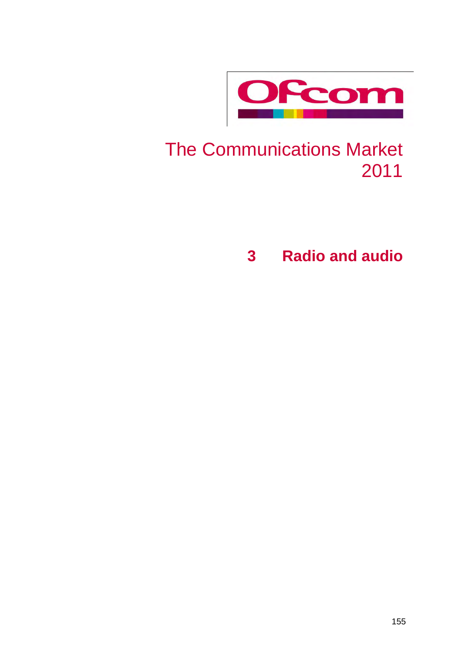

# The Communications Market 2011

**3 Radio and audio**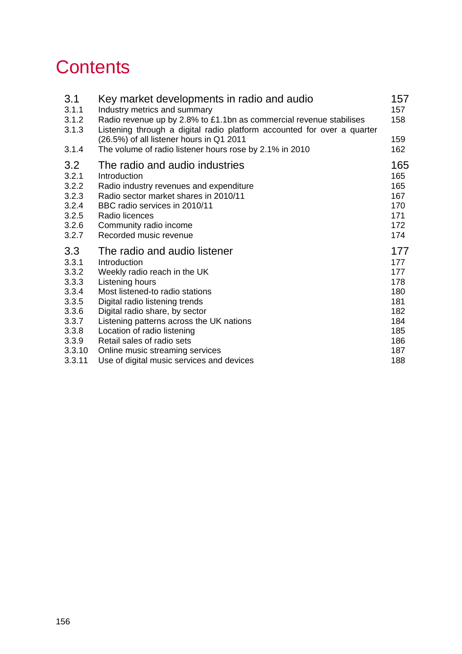# **Contents**

| 3.1<br>3.1.1                                                                                   | Key market developments in radio and audio<br>Industry metrics and summary                                                                                                                                                                                                                                      | 157<br>157                                                                |
|------------------------------------------------------------------------------------------------|-----------------------------------------------------------------------------------------------------------------------------------------------------------------------------------------------------------------------------------------------------------------------------------------------------------------|---------------------------------------------------------------------------|
| 3.1.2<br>3.1.3                                                                                 | Radio revenue up by 2.8% to £1.1bn as commercial revenue stabilises<br>Listening through a digital radio platform accounted for over a quarter<br>(26.5%) of all listener hours in Q1 2011                                                                                                                      | 158<br>159                                                                |
| 3.1.4                                                                                          | The volume of radio listener hours rose by 2.1% in 2010                                                                                                                                                                                                                                                         | 162                                                                       |
| 3.2<br>3.2.1<br>3.2.2<br>3.2.3<br>3.2.4<br>3.2.5<br>3.2.6<br>3.2.7                             | The radio and audio industries<br>Introduction<br>Radio industry revenues and expenditure<br>Radio sector market shares in 2010/11<br>BBC radio services in 2010/11<br>Radio licences<br>Community radio income<br>Recorded music revenue                                                                       | 165<br>165<br>165<br>167<br>170<br>171<br>172<br>174                      |
| 3.3<br>3.3.1<br>3.3.2<br>3.3.3<br>3.3.4<br>3.3.5<br>3.3.6<br>3.3.7<br>3.3.8<br>3.3.9<br>3.3.10 | The radio and audio listener<br>Introduction<br>Weekly radio reach in the UK<br>Listening hours<br>Most listened-to radio stations<br>Digital radio listening trends<br>Digital radio share, by sector<br>Listening patterns across the UK nations<br>Location of radio listening<br>Retail sales of radio sets | 177<br>177<br>177<br>178<br>180<br>181<br>182<br>184<br>185<br>186<br>187 |
| 3.3.11                                                                                         | Online music streaming services<br>Use of digital music services and devices                                                                                                                                                                                                                                    | 188                                                                       |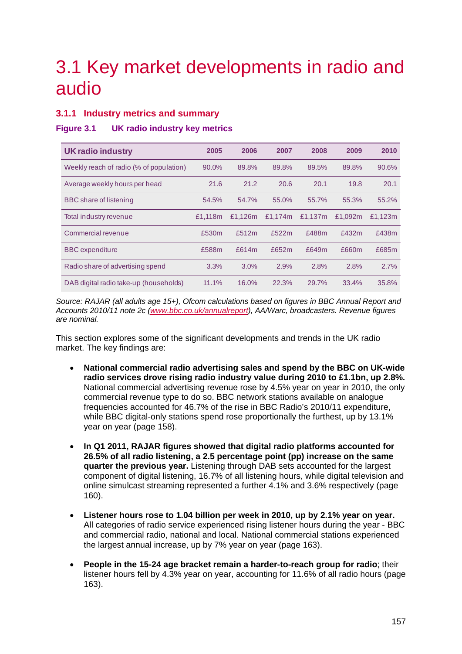# <span id="page-2-0"></span>3.1 Key market developments in radio and audio

# <span id="page-2-1"></span>**3.1.1 Industry metrics and summary**

## **Figure 3.1 UK radio industry key metrics**

| <b>UK radio industry</b>                | 2005    | 2006    | 2007    | 2008    | 2009    | 2010    |
|-----------------------------------------|---------|---------|---------|---------|---------|---------|
| Weekly reach of radio (% of population) | 90.0%   | 89.8%   | 89.8%   | 89.5%   | 89.8%   | 90.6%   |
| Average weekly hours per head           | 21.6    | 21.2    | 20.6    | 20.1    | 19.8    | 20.1    |
| BBC share of listening                  | 54.5%   | 54.7%   | 55.0%   | 55.7%   | 55.3%   | 55.2%   |
| Total industry revenue                  | £1.118m | £1.126m | £1.174m | £1.137m | £1.092m | £1,123m |
| Commercial revenue                      | £530m   | £512m   | £522m   | £488m   | £432m   | £438m   |
| <b>BBC</b> expenditure                  | £588m   | £614m   | £652m   | £649m   | £660m   | £685m   |
| Radio share of advertising spend        | 3.3%    | 3.0%    | 2.9%    | 2.8%    | 2.8%    | 2.7%    |
| DAB digital radio take-up (households)  | 11.1%   | 16.0%   | 22.3%   | 29.7%   | 33.4%   | 35.8%   |

*Source: RAJAR (all adults age 15+), Ofcom calculations based on figures in BBC Annual Report and Accounts 2010/11 note 2c [\(www.bbc.co.uk/annualreport\)](http://www.bbc.co.uk/annualreport), AA/Warc, broadcasters. Revenue figures are nominal.*

This section explores some of the significant developments and trends in the UK radio market. The key findings are:

- **National commercial radio advertising sales and spend by the BBC on UK-wide radio services drove rising radio industry value during 2010 to £1.1bn, up 2.8%.** National commercial advertising revenue rose by 4.5% year on year in 2010, the only commercial revenue type to do so. BBC network stations available on analogue frequencies accounted for 46.7% of the rise in BBC Radio's 2010/11 expenditure, while BBC digital-only stations spend rose proportionally the furthest, up by 13.1% year on year (page [158\)](#page-3-0).
- **In Q1 2011, RAJAR figures showed that digital radio platforms accounted for 26.5% of all radio listening, a 2.5 percentage point (pp) increase on the same quarter the previous year.** Listening through DAB sets accounted for the largest component of digital listening, 16.7% of all listening hours, while digital television and online simulcast streaming represented a further 4.1% and 3.6% respectively (page [160\)](#page-5-0).
- **Listener hours rose to 1.04 billion per week in 2010, up by 2.1% year on year.** All categories of radio service experienced rising listener hours during the year - BBC and commercial radio, national and local. National commercial stations experienced the largest annual increase, up by 7% year on year (page [163\)](#page-8-0).
- **People in the 15-24 age bracket remain a harder-to-reach group for radio**; their listener hours fell by 4.3% year on year, accounting for 11.6% of all radio hours (page [163\)](#page-8-1).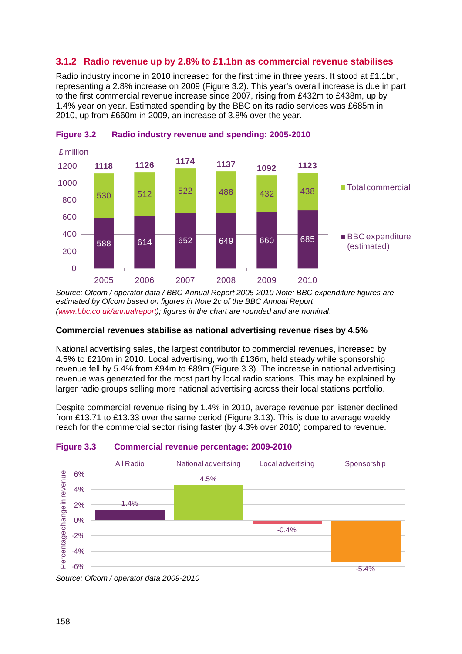# <span id="page-3-0"></span>**3.1.2 Radio revenue up by 2.8% to £1.1bn as commercial revenue stabilises**

Radio industry income in 2010 increased for the first time in three years. It stood at £1.1bn, representing a 2.8% increase on 2009 [\(Figure 3.2\)](#page-3-1). This year's overall increase is due in part to the first commercial revenue increase since 2007, rising from £432m to £438m, up by 1.4% year on year. Estimated spending by the BBC on its radio services was £685m in 2010, up from £660m in 2009, an increase of 3.8% over the year.



<span id="page-3-1"></span>

*Source: Ofcom / operator data / BBC Annual Report 2005-2010 Note: BBC expenditure figures are estimated by Ofcom based on figures in Note 2c of the BBC Annual Report [\(www.bbc.co.uk/annualreport\)](http://www.bbc.co.uk/annualreport); figures in the chart are rounded and are nominal*.

## **Commercial revenues stabilise as national advertising revenue rises by 4.5%**

National advertising sales, the largest contributor to commercial revenues, increased by 4.5% to £210m in 2010. Local advertising, worth £136m, held steady while sponsorship revenue fell by 5.4% from £94m to £89m [\(Figure 3.3\)](#page-3-2). The increase in national advertising revenue was generated for the most part by local radio stations. This may be explained by larger radio groups selling more national advertising across their local stations portfolio.

Despite commercial revenue rising by 1.4% in 2010, average revenue per listener declined from £13.71 to £13.33 over the same period [\(Figure 3.13\)](#page-12-1). This is due to average weekly reach for the commercial sector rising faster (by 4.3% over 2010) compared to revenue.



## <span id="page-3-2"></span>**Figure 3.3 Commercial revenue percentage: 2009-2010**

*Source: Ofcom / operator data 2009-2010*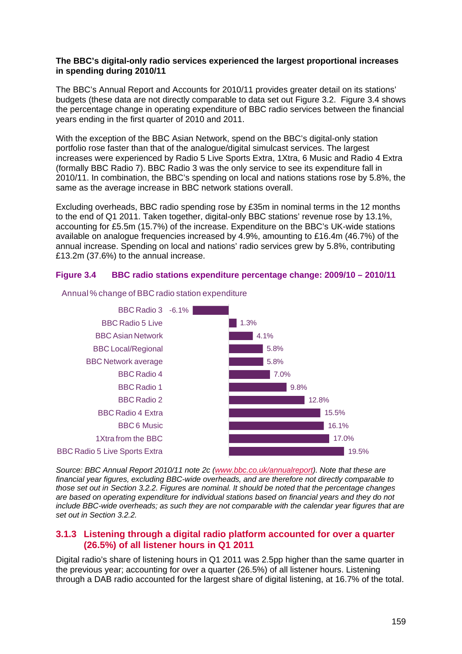#### **The BBC's digital-only radio services experienced the largest proportional increases in spending during 2010/11**

The BBC's Annual Report and Accounts for 2010/11 provides greater detail on its stations' budgets (these data are not directly comparable to data set out [Figure 3.2.](#page-3-1) [Figure 3.4](#page-4-1) shows the percentage change in operating expenditure of BBC radio services between the financial years ending in the first quarter of 2010 and 2011.

With the exception of the BBC Asian Network, spend on the BBC's digital-only station portfolio rose faster than that of the analogue/digital simulcast services. The largest increases were experienced by Radio 5 Live Sports Extra, 1Xtra, 6 Music and Radio 4 Extra (formally BBC Radio 7). BBC Radio 3 was the only service to see its expenditure fall in 2010/11. In combination, the BBC's spending on local and nations stations rose by 5.8%, the same as the average increase in BBC network stations overall.

Excluding overheads, BBC radio spending rose by £35m in nominal terms in the 12 months to the end of Q1 2011. Taken together, digital-only BBC stations' revenue rose by 13.1%, accounting for £5.5m (15.7%) of the increase. Expenditure on the BBC's UK-wide stations available on analogue frequencies increased by 4.9%, amounting to £16.4m (46.7%) of the annual increase. Spending on local and nations' radio services grew by 5.8%, contributing £13.2m (37.6%) to the annual increase.

## <span id="page-4-1"></span>**Figure 3.4 BBC radio stations expenditure percentage change: 2009/10 – 2010/11**



#### Annual % change of BBC radio station expenditure

*Source: BBC Annual Report 2010/11 note 2c [\(www.bbc.co.uk/annualreport\)](http://www.bbc.co.uk/annualreport). Note that these are financial year figures, excluding BBC-wide overheads, and are therefore not directly comparable to those set out in Sectio[n 3.2.2.](#page-10-2) Figures are nominal. It should be noted that the percentage changes are based on operating expenditure for individual stations based on financial years and they do not include BBC-wide overheads; as such they are not comparable with the calendar year figures that are set out in Section [3.2.2.](#page-10-2)* 

## <span id="page-4-0"></span>**3.1.3 Listening through a digital radio platform accounted for over a quarter (26.5%) of all listener hours in Q1 2011**

Digital radio's share of listening hours in Q1 2011 was 2.5pp higher than the same quarter in the previous year; accounting for over a quarter (26.5%) of all listener hours. Listening through a DAB radio accounted for the largest share of digital listening, at 16.7% of the total.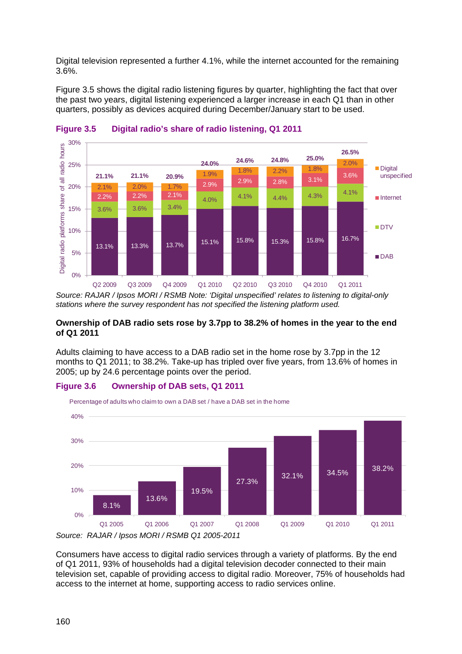Digital television represented a further 4.1%, while the internet accounted for the remaining 3.6%.

[Figure 3.5](#page-5-0) shows the digital radio listening figures by quarter, highlighting the fact that over the past two years, digital listening experienced a larger increase in each Q1 than in other quarters, possibly as devices acquired during December/January start to be used.



<span id="page-5-0"></span>

*Source: RAJAR / Ipsos MORI / RSMB Note: 'Digital unspecified' relates to listening to digital-only stations where the survey respondent has not specified the listening platform used.*

## **Ownership of DAB radio sets rose by 3.7pp to 38.2% of homes in the year to the end of Q1 2011**

Adults claiming to have access to a DAB radio set in the home rose by 3.7pp in the 12 months to Q1 2011; to 38.2%. Take-up has tripled over five years, from 13.6% of homes in 2005; up by 24.6 percentage points over the period.





*Source: RAJAR / Ipsos MORI / RSMB Q1 2005-2011*

Consumers have access to digital radio services through a variety of platforms. By the end of Q1 2011, 93% of households had a digital television decoder connected to their main television set, capable of providing access to digital radio. Moreover, 75% of households had access to the internet at home, supporting access to radio services online.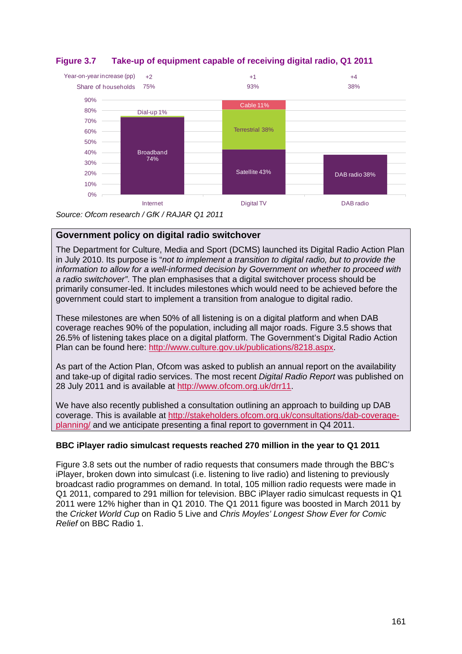

**Figure 3.7 Take-up of equipment capable of receiving digital radio, Q1 2011**

*Source: Ofcom research / GfK / RAJAR Q1 2011*

# **Government policy on digital radio switchover**

The Department for Culture, Media and Sport (DCMS) launched its Digital Radio Action Plan in July 2010. Its purpose is "*not to implement a transition to digital radio, but to provide the information to allow for a well-informed decision by Government on whether to proceed with a radio switchover"*. The plan emphasises that a digital switchover process should be primarily consumer-led. It includes milestones which would need to be achieved before the government could start to implement a transition from analogue to digital radio.

These milestones are when 50% of all listening is on a digital platform and when DAB coverage reaches 90% of the population, including all major roads. [Figure 3.5](#page-5-0) shows that 26.5% of listening takes place on a digital platform. The Government's Digital Radio Action Plan can be found here: [http://www.culture.gov.uk/publications/8218.aspx.](http://www.culture.gov.uk/publications/8218.aspx)

As part of the Action Plan, Ofcom was asked to publish an annual report on the availability and take-up of digital radio services. The most recent *Digital Radio Report* was published on 28 July 2011 and is available at [http://www.ofcom.org.uk/drr11.](http://www.ofcom.org.uk/drr11)

We have also recently published a consultation outlining an approach to building up DAB coverage. This is available at [http://stakeholders.ofcom.org.uk/consultations/dab-coverage](http://stakeholders.ofcom.org.uk/consultations/dab-coverage-planning/)[planning/](http://stakeholders.ofcom.org.uk/consultations/dab-coverage-planning/) and we anticipate presenting a final report to government in Q4 2011.

# **BBC iPlayer radio simulcast requests reached 270 million in the year to Q1 2011**

[Figure 3.8](#page-7-1) sets out the number of radio requests that consumers made through the BBC's iPlayer, broken down into simulcast (i.e. listening to live radio) and listening to previously broadcast radio programmes on demand. In total, 105 million radio requests were made in Q1 2011, compared to 291 million for television. BBC iPlayer radio simulcast requests in Q1 2011 were 12% higher than in Q1 2010. The Q1 2011 figure was boosted in March 2011 by the *Cricket World Cup* on Radio 5 Live and *Chris Moyles' Longest Show Ever for Comic Relief* on BBC Radio 1.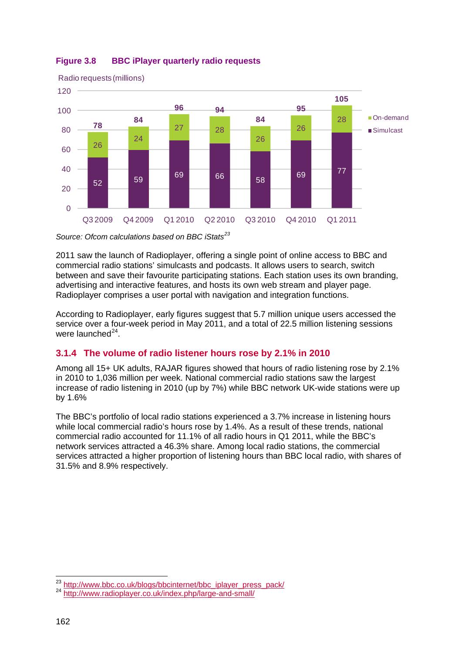

# <span id="page-7-1"></span>**Figure 3.8 BBC iPlayer quarterly radio requests**

*Source: Ofcom calculations based on BBC iStats[23](#page-7-2)*

2011 saw the launch of Radioplayer, offering a single point of online access to BBC and commercial radio stations' simulcasts and podcasts. It allows users to search, switch between and save their favourite participating stations. Each station uses its own branding, advertising and interactive features, and hosts its own web stream and player page. Radioplayer comprises a user portal with navigation and integration functions.

According to Radioplayer, early figures suggest that 5.7 million unique users accessed the service over a four-week period in May 2011, and a total of 22.5 million listening sessions were launched<sup>[24](#page-7-3)</sup>.

# <span id="page-7-0"></span>**3.1.4 The volume of radio listener hours rose by 2.1% in 2010**

Among all 15+ UK adults, RAJAR figures showed that hours of radio listening rose by 2.1% in 2010 to 1,036 million per week. National commercial radio stations saw the largest increase of radio listening in 2010 (up by 7%) while BBC network UK-wide stations were up by 1.6%

The BBC's portfolio of local radio stations experienced a 3.7% increase in listening hours while local commercial radio's hours rose by 1.4%. As a result of these trends, national commercial radio accounted for 11.1% of all radio hours in Q1 2011, while the BBC's network services attracted a 46.3% share. Among local radio stations, the commercial services attracted a higher proportion of listening hours than BBC local radio, with shares of 31.5% and 8.9% respectively.

 $\overline{a}$ 

<span id="page-7-3"></span><span id="page-7-2"></span><sup>&</sup>lt;sup>23</sup> [http://www.bbc.co.uk/blogs/bbcinternet/bbc\\_iplayer\\_press\\_pack/](http://www.bbc.co.uk/blogs/bbcinternet/bbc_iplayer_press_pack/)<br><sup>24</sup> <http://www.radioplayer.co.uk/index.php/large-and-small/>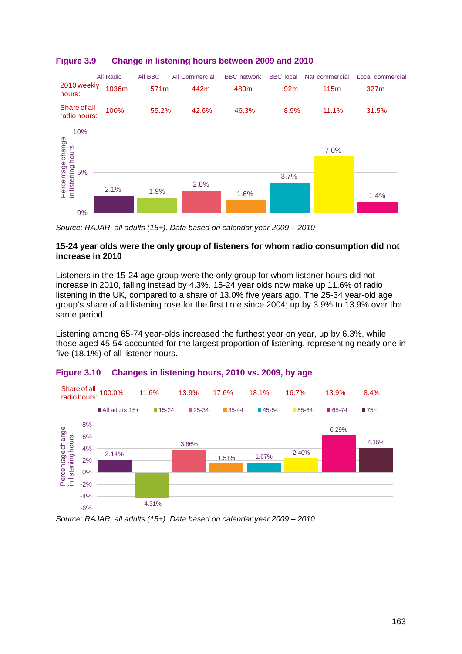

# <span id="page-8-0"></span>**Figure 3.9 Change in listening hours between 2009 and 2010**

*Source: RAJAR, all adults (15+). Data based on calendar year 2009 – 2010*

## **15-24 year olds were the only group of listeners for whom radio consumption did not increase in 2010**

Listeners in the 15-24 age group were the only group for whom listener hours did not increase in 2010, falling instead by 4.3%. 15-24 year olds now make up 11.6% of radio listening in the UK, compared to a share of 13.0% five years ago. The 25-34 year-old age group's share of all listening rose for the first time since 2004; up by 3.9% to 13.9% over the same period.

Listening among 65-74 year-olds increased the furthest year on year, up by 6.3%, while those aged 45-54 accounted for the largest proportion of listening, representing nearly one in five (18.1%) of all listener hours.



# <span id="page-8-1"></span>**Figure 3.10 Changes in listening hours, 2010 vs. 2009, by age**

*Source: RAJAR, all adults (15+). Data based on calendar year 2009 – 2010*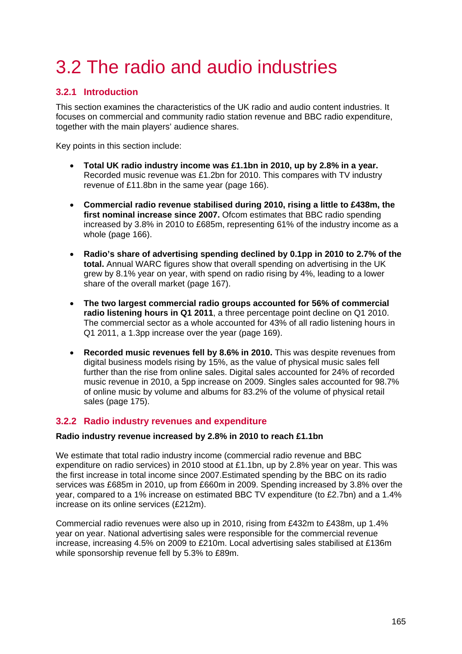# <span id="page-10-0"></span>3.2 The radio and audio industries

# <span id="page-10-1"></span>**3.2.1 Introduction**

This section examines the characteristics of the UK radio and audio content industries. It focuses on commercial and community radio station revenue and BBC radio expenditure, together with the main players' audience shares.

Key points in this section include:

- **Total UK radio industry income was £1.1bn in 2010, up by 2.8% in a year.** Recorded music revenue was £1.2bn for 2010. This compares with TV industry revenue of £11.8bn in the same year (page [166\)](#page-11-0).
- **Commercial radio revenue stabilised during 2010, rising a little to £438m, the first nominal increase since 2007.** Ofcom estimates that BBC radio spending increased by 3.8% in 2010 to £685m, representing 61% of the industry income as a whole (page [166\)](#page-11-0).
- **Radio's share of advertising spending declined by 0.1pp in 2010 to 2.7% of the total.** Annual WARC figures show that overall spending on advertising in the UK grew by 8.1% year on year, with spend on radio rising by 4%, leading to a lower share of the overall market (page [167\)](#page-12-2).
- **The two largest commercial radio groups accounted for 56% of commercial radio listening hours in Q1 2011**, a three percentage point decline on Q1 2010. The commercial sector as a whole accounted for 43% of all radio listening hours in Q1 2011, a 1.3pp increase over the year (page [169\)](#page-14-0).
- **Recorded music revenues fell by 8.6% in 2010.** This was despite revenues from digital business models rising by 15%, as the value of physical music sales fell further than the rise from online sales. Digital sales accounted for 24% of recorded music revenue in 2010, a 5pp increase on 2009. Singles sales accounted for 98.7% of online music by volume and albums for 83.2% of the volume of physical retail sales (page [175\)](#page-20-0).

# <span id="page-10-2"></span>**3.2.2 Radio industry revenues and expenditure**

## **Radio industry revenue increased by 2.8% in 2010 to reach £1.1bn**

We estimate that total radio industry income (commercial radio revenue and BBC expenditure on radio services) in 2010 stood at £1.1bn, up by 2.8% year on year. This was the first increase in total income since 2007.Estimated spending by the BBC on its radio services was £685m in 2010, up from £660m in 2009. Spending increased by 3.8% over the year, compared to a 1% increase on estimated BBC TV expenditure (to £2.7bn) and a 1.4% increase on its online services (£212m).

Commercial radio revenues were also up in 2010, rising from £432m to £438m, up 1.4% year on year. National advertising sales were responsible for the commercial revenue increase, increasing 4.5% on 2009 to £210m. Local advertising sales stabilised at £136m while sponsorship revenue fell by 5.3% to £89m.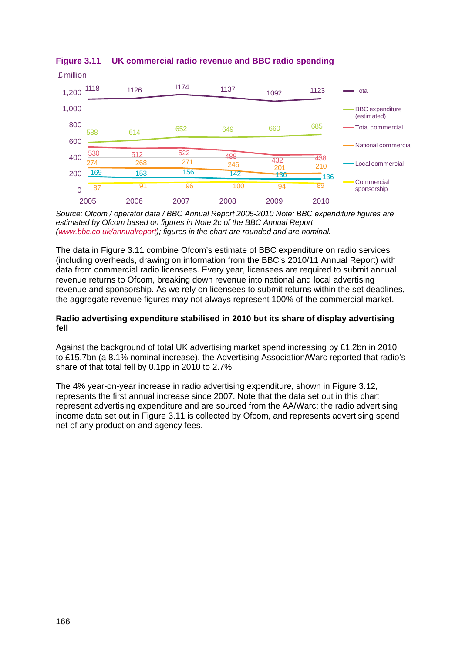

<span id="page-11-0"></span>**Figure 3.11 UK commercial radio revenue and BBC radio spending**

*Source: Ofcom / operator data / BBC Annual Report 2005-2010 Note: BBC expenditure figures are estimated by Ofcom based on figures in Note 2c of the BBC Annual Report [\(www.bbc.co.uk/annualreport\)](http://www.bbc.co.uk/annualreport); figures in the chart are rounded and are nominal.* 

The data in [Figure 3.11](#page-11-0) combine Ofcom's estimate of BBC expenditure on radio services (including overheads, drawing on information from the BBC's 2010/11 Annual Report) with data from commercial radio licensees. Every year, licensees are required to submit annual revenue returns to Ofcom, breaking down revenue into national and local advertising revenue and sponsorship. As we rely on licensees to submit returns within the set deadlines, the aggregate revenue figures may not always represent 100% of the commercial market.

### **Radio advertising expenditure stabilised in 2010 but its share of display advertising fell**

Against the background of total UK advertising market spend increasing by £1.2bn in 2010 to £15.7bn (a 8.1% nominal increase), the Advertising Association/Warc reported that radio's share of that total fell by 0.1pp in 2010 to 2.7%.

The 4% year-on-year increase in radio advertising expenditure, shown in [Figure 3.12,](#page-12-2) represents the first annual increase since 2007. Note that the data set out in this chart represent advertising expenditure and are sourced from the AA/Warc; the radio advertising income data set out in [Figure 3.11](#page-11-0) is collected by Ofcom, and represents advertising spend net of any production and agency fees.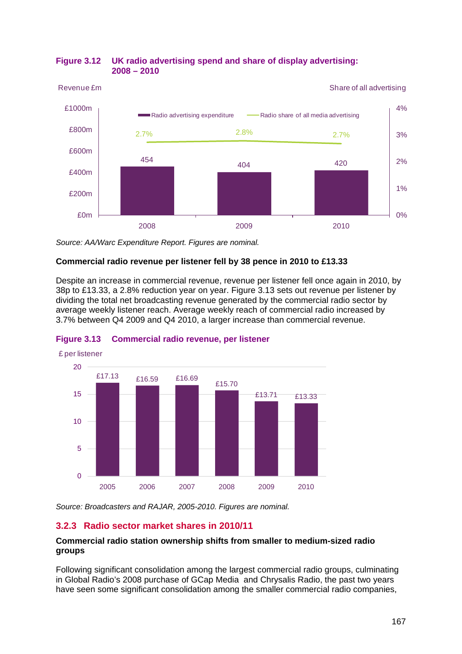

## <span id="page-12-2"></span>**Figure 3.12 UK radio advertising spend and share of display advertising: 2008 – 2010**

*Source: AA/Warc Expenditure Report. Figures are nominal.*

## **Commercial radio revenue per listener fell by 38 pence in 2010 to £13.33**

Despite an increase in commercial revenue, revenue per listener fell once again in 2010, by 38p to £13.33, a 2.8% reduction year on year. [Figure 3.13](#page-12-1) sets out revenue per listener by dividing the total net broadcasting revenue generated by the commercial radio sector by average weekly listener reach. Average weekly reach of commercial radio increased by 3.7% between Q4 2009 and Q4 2010, a larger increase than commercial revenue.



## <span id="page-12-1"></span>**Figure 3.13 Commercial radio revenue, per listener**

*Source: Broadcasters and RAJAR, 2005-2010. Figures are nominal.*

# <span id="page-12-0"></span>**3.2.3 Radio sector market shares in 2010/11**

## **Commercial radio station ownership shifts from smaller to medium-sized radio groups**

Following significant consolidation among the largest commercial radio groups, culminating in Global Radio's 2008 purchase of GCap Media and Chrysalis Radio, the past two years have seen some significant consolidation among the smaller commercial radio companies,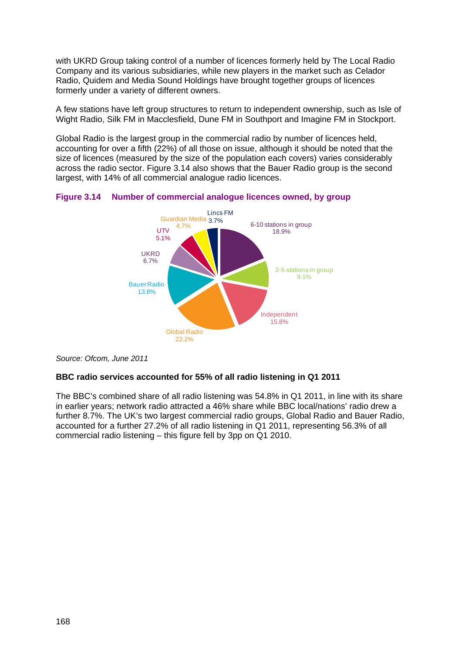with UKRD Group taking control of a number of licences formerly held by The Local Radio Company and its various subsidiaries, while new players in the market such as Celador Radio, Quidem and Media Sound Holdings have brought together groups of licences formerly under a variety of different owners.

A few stations have left group structures to return to independent ownership, such as Isle of Wight Radio, Silk FM in Macclesfield, Dune FM in Southport and Imagine FM in Stockport.

Global Radio is the largest group in the commercial radio by number of licences held, accounting for over a fifth (22%) of all those on issue, although it should be noted that the size of licences (measured by the size of the population each covers) varies considerably across the radio sector. [Figure 3.14](#page-13-0) also shows that the Bauer Radio group is the second largest, with 14% of all commercial analogue radio licences.



<span id="page-13-0"></span>**Figure 3.14 Number of commercial analogue licences owned, by group** 

*Source: Ofcom, June 2011*

# **BBC radio services accounted for 55% of all radio listening in Q1 2011**

The BBC's combined share of all radio listening was 54.8% in Q1 2011, in line with its share in earlier years; network radio attracted a 46% share while BBC local/nations' radio drew a further 8.7%. The UK's two largest commercial radio groups, Global Radio and Bauer Radio, accounted for a further 27.2% of all radio listening in Q1 2011, representing 56.3% of all commercial radio listening – this figure fell by 3pp on Q1 2010.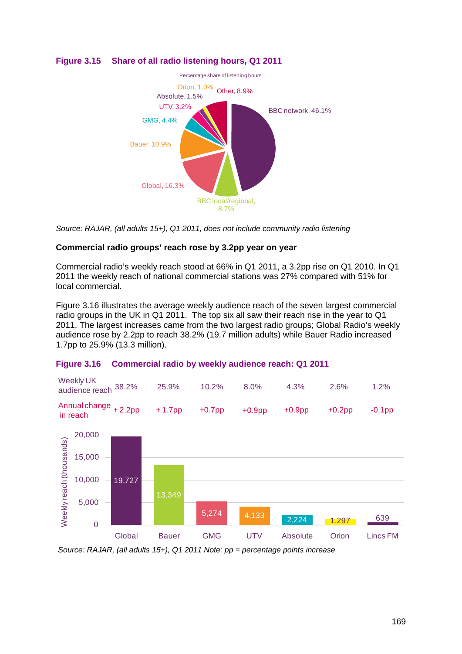

# **Figure 3.15 Share of all radio listening hours, Q1 2011**

*Source: RAJAR, (all adults 15+), Q1 2011, does not include community radio listening*

## **Commercial radio groups' reach rose by 3.2pp year on year**

Commercial radio's weekly reach stood at 66% in Q1 2011, a 3.2pp rise on Q1 2010. In Q1 2011 the weekly reach of national commercial stations was 27% compared with 51% for local commercial.

[Figure 3.16](#page-14-0) illustrates the average weekly audience reach of the seven largest commercial radio groups in the UK in Q1 2011. The top six all saw their reach rise in the year to Q1 2011. The largest increases came from the two largest radio groups; Global Radio's weekly audience rose by 2.2pp to reach 38.2% (19.7 million adults) while Bauer Radio increased 1.7pp to 25.9% (13.3 million).

## <span id="page-14-0"></span>**Figure 3.16 Commercial radio by weekly audience reach: Q1 2011**



Global Bauer GMG UTV Absolute Orion Lincs FM

*Source: RAJAR, (all adults 15+), Q1 2011 Note: pp = percentage points increase*

0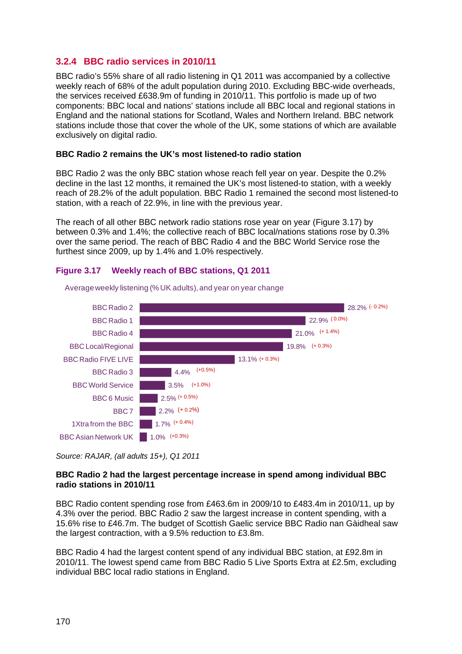# <span id="page-15-0"></span>**3.2.4 BBC radio services in 2010/11**

BBC radio's 55% share of all radio listening in Q1 2011 was accompanied by a collective weekly reach of 68% of the adult population during 2010. Excluding BBC-wide overheads, the services received £638.9m of funding in 2010/11. This portfolio is made up of two components: BBC local and nations' stations include all BBC local and regional stations in England and the national stations for Scotland, Wales and Northern Ireland. BBC network stations include those that cover the whole of the UK, some stations of which are available exclusively on digital radio.

### **BBC Radio 2 remains the UK's most listened-to radio station**

BBC Radio 2 was the only BBC station whose reach fell year on year. Despite the 0.2% decline in the last 12 months, it remained the UK's most listened-to station, with a weekly reach of 28.2% of the adult population. BBC Radio 1 remained the second most listened-to station, with a reach of 22.9%, in line with the previous year.

The reach of all other BBC network radio stations rose year on year [\(Figure 3.17\)](#page-15-1) by between 0.3% and 1.4%; the collective reach of BBC local/nations stations rose by 0.3% over the same period. The reach of BBC Radio 4 and the BBC World Service rose the furthest since 2009, up by 1.4% and 1.0% respectively.

#### <span id="page-15-1"></span>**Figure 3.17 Weekly reach of BBC stations, Q1 2011**



Average weekly listening (% UK adults), and year on year change

Source: RAJAR, (all adults 15+), Q1 2011

## **BBC Radio 2 had the largest percentage increase in spend among individual BBC radio stations in 2010/11**

BBC Radio content spending rose from £463.6m in 2009/10 to £483.4m in 2010/11, up by 4.3% over the period. BBC Radio 2 saw the largest increase in content spending, with a 15.6% rise to £46.7m. The budget of Scottish Gaelic service BBC Radio nan Gàidheal saw the largest contraction, with a 9.5% reduction to £3.8m.

BBC Radio 4 had the largest content spend of any individual BBC station, at £92.8m in 2010/11. The lowest spend came from BBC Radio 5 Live Sports Extra at £2.5m, excluding individual BBC local radio stations in England.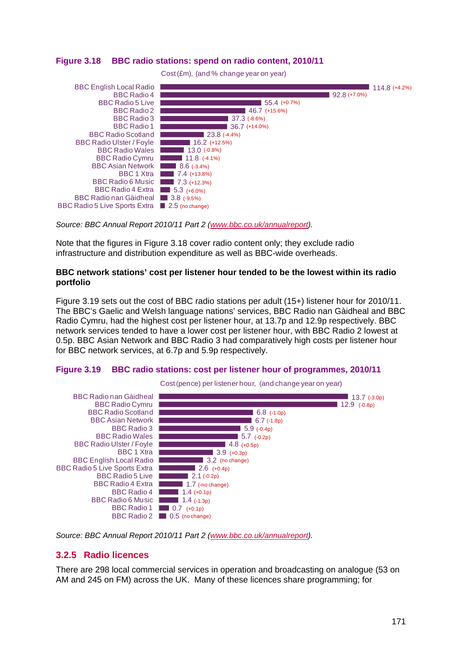<span id="page-16-1"></span>



*Source: BBC Annual Report 2010/11 Part 2 [\(www.bbc.co.uk/annualreport\)](http://www.bbc.co.uk/annualreport).*

Note that the figures in [Figure 3.18](#page-16-1) cover radio content only; they exclude radio infrastructure and distribution expenditure as well as BBC-wide overheads.

#### **BBC network stations' cost per listener hour tended to be the lowest within its radio portfolio**

[Figure 3.19](#page-16-2) sets out the cost of BBC radio stations per adult (15+) listener hour for 2010/11. The BBC's Gaelic and Welsh language nations' services, BBC Radio nan Gàidheal and BBC Radio Cymru, had the highest cost per listener hour, at 13.7p and 12.9p respectively. BBC network services tended to have a lower cost per listener hour, with BBC Radio 2 lowest at 0.5p. BBC Asian Network and BBC Radio 3 had comparatively high costs per listener hour for BBC network services, at 6.7p and 5.9p respectively.

#### <span id="page-16-2"></span>**Figure 3.19 BBC radio stations: cost per listener hour of programmes, 2010/11**



<span id="page-16-0"></span>*Source: BBC Annual Report 2010/11 Part 2 [\(www.bbc.co.uk/annualreport\)](http://www.bbc.co.uk/annualreport).*

## **3.2.5 Radio licences**

There are 298 local commercial services in operation and broadcasting on analogue (53 on AM and 245 on FM) across the UK. Many of these licences share programming; for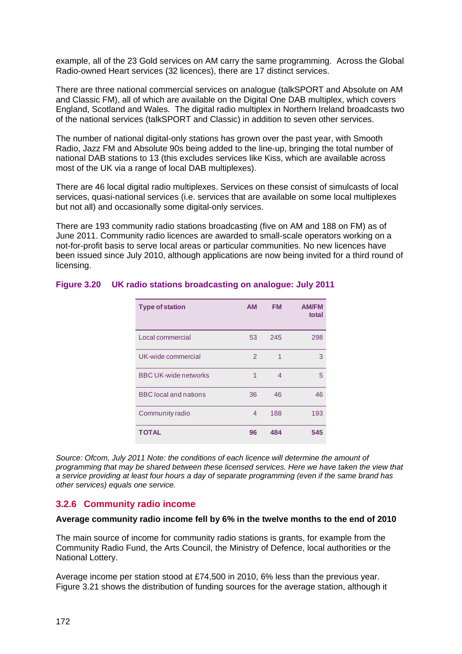example, all of the 23 Gold services on AM carry the same programming. Across the Global Radio-owned Heart services (32 licences), there are 17 distinct services.

There are three national commercial services on analogue (talkSPORT and Absolute on AM and Classic FM), all of which are available on the Digital One DAB multiplex, which covers England, Scotland and Wales. The digital radio multiplex in Northern Ireland broadcasts two of the national services (talkSPORT and Classic) in addition to seven other services.

The number of national digital-only stations has grown over the past year, with Smooth Radio, Jazz FM and Absolute 90s being added to the line-up, bringing the total number of national DAB stations to 13 (this excludes services like Kiss, which are available across most of the UK via a range of local DAB multiplexes).

There are 46 local digital radio multiplexes. Services on these consist of simulcasts of local services, quasi-national services (i.e. services that are available on some local multiplexes but not all) and occasionally some digital-only services.

There are 193 community radio stations broadcasting (five on AM and 188 on FM) as of June 2011. Community radio licences are awarded to small-scale operators working on a not-for-profit basis to serve local areas or particular communities. No new licences have been issued since July 2010, although applications are now being invited for a third round of licensing.

| <b>Type of station</b>       | <b>AM</b> | <b>FM</b> | <b>AM/FM</b><br>total |
|------------------------------|-----------|-----------|-----------------------|
| Local commercial             | 53        | 245       | 298                   |
| UK-wide commercial           | 2         | 1         | 3                     |
| <b>BBC UK-wide networks</b>  | 1         | 4         | 5                     |
| <b>BBC</b> local and nations | 36        | 46        | 46                    |
| Community radio              | 4         | 188       | 193                   |
| <b>TOTAL</b>                 | 96        | 484       | 545                   |

## **Figure 3.20 UK radio stations broadcasting on analogue: July 2011**

*Source: Ofcom, July 2011 Note: the conditions of each licence will determine the amount of programming that may be shared between these licensed services. Here we have taken the view that a service providing at least four hours a day of separate programming (even if the same brand has other services) equals one service.*

# <span id="page-17-0"></span>**3.2.6 Community radio income**

#### **Average community radio income fell by 6% in the twelve months to the end of 2010**

The main source of income for community radio stations is grants, for example from the Community Radio Fund, the Arts Council, the Ministry of Defence, local authorities or the National Lottery.

Average income per station stood at £74,500 in 2010, 6% less than the previous year. [Figure 3.21](#page-18-0) shows the distribution of funding sources for the average station, although it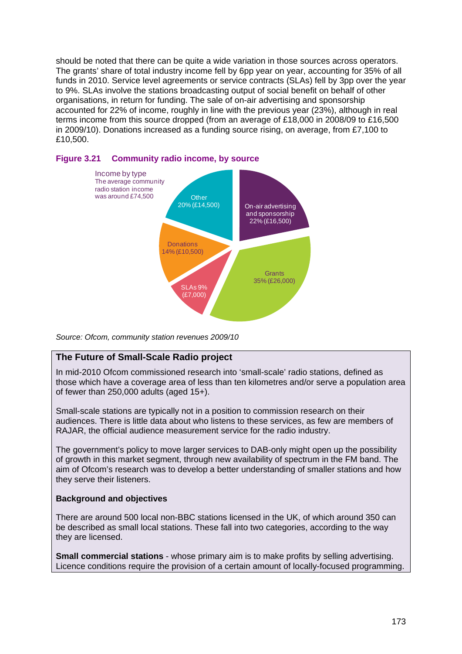should be noted that there can be quite a wide variation in those sources across operators. The grants' share of total industry income fell by 6pp year on year, accounting for 35% of all funds in 2010. Service level agreements or service contracts (SLAs) fell by 3pp over the year to 9%. SLAs involve the stations broadcasting output of social benefit on behalf of other organisations, in return for funding. The sale of on-air advertising and sponsorship accounted for 22% of income, roughly in line with the previous year (23%), although in real terms income from this source dropped (from an average of £18,000 in 2008/09 to £16,500 in 2009/10). Donations increased as a funding source rising, on average, from £7,100 to £10,500.



### <span id="page-18-0"></span>**Figure 3.21 Community radio income, by source**

*Source: Ofcom, community station revenues 2009/10*

# **The Future of Small-Scale Radio project**

In mid-2010 Ofcom commissioned research into 'small-scale' radio stations, defined as those which have a coverage area of less than ten kilometres and/or serve a population area of fewer than 250,000 adults (aged 15+).

Small-scale stations are typically not in a position to commission research on their audiences. There is little data about who listens to these services, as few are members of RAJAR, the official audience measurement service for the radio industry.

The government's policy to move larger services to DAB-only might open up the possibility of growth in this market segment, through new availability of spectrum in the FM band. The aim of Ofcom's research was to develop a better understanding of smaller stations and how they serve their listeners.

## **Background and objectives**

There are around 500 local non-BBC stations licensed in the UK, of which around 350 can be described as small local stations. These fall into two categories, according to the way they are licensed.

**Small commercial stations** - whose primary aim is to make profits by selling advertising. Licence conditions require the provision of a certain amount of locally-focused programming.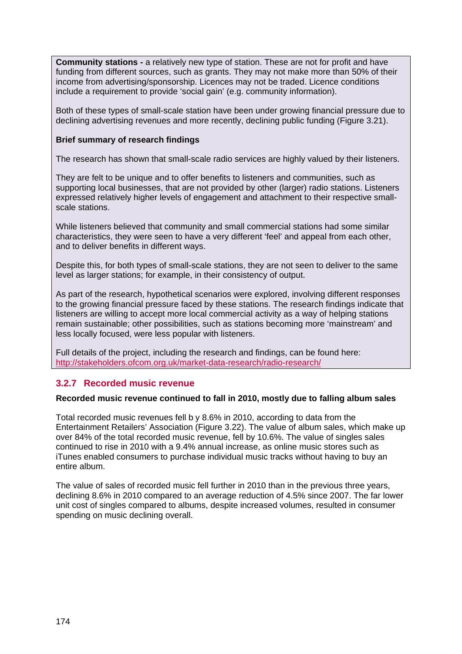**Community stations -** a relatively new type of station. These are not for profit and have funding from different sources, such as grants. They may not make more than 50% of their income from advertising/sponsorship. Licences may not be traded. Licence conditions include a requirement to provide 'social gain' (e.g. community information).

Both of these types of small-scale station have been under growing financial pressure due to declining advertising revenues and more recently, declining public funding [\(Figure 3.21\)](#page-18-0).

## **Brief summary of research findings**

The research has shown that small-scale radio services are highly valued by their listeners.

They are felt to be unique and to offer benefits to listeners and communities, such as supporting local businesses, that are not provided by other (larger) radio stations. Listeners expressed relatively higher levels of engagement and attachment to their respective smallscale stations.

While listeners believed that community and small commercial stations had some similar characteristics, they were seen to have a very different 'feel' and appeal from each other, and to deliver benefits in different ways.

Despite this, for both types of small-scale stations, they are not seen to deliver to the same level as larger stations; for example, in their consistency of output.

As part of the research, hypothetical scenarios were explored, involving different responses to the growing financial pressure faced by these stations. The research findings indicate that listeners are willing to accept more local commercial activity as a way of helping stations remain sustainable; other possibilities, such as stations becoming more 'mainstream' and less locally focused, were less popular with listeners.

Full details of the project, including the research and findings, can be found here: <http://stakeholders.ofcom.org.uk/market-data-research/radio-research/>

# <span id="page-19-0"></span>**3.2.7 Recorded music revenue**

#### **Recorded music revenue continued to fall in 2010, mostly due to falling album sales**

Total recorded music revenues fell b y 8.6% in 2010, according to data from the Entertainment Retailers' Association [\(Figure 3.22\)](#page-20-0). The value of album sales, which make up over 84% of the total recorded music revenue, fell by 10.6%. The value of singles sales continued to rise in 2010 with a 9.4% annual increase, as online music stores such as iTunes enabled consumers to purchase individual music tracks without having to buy an entire album.

The value of sales of recorded music fell further in 2010 than in the previous three years, declining 8.6% in 2010 compared to an average reduction of 4.5% since 2007. The far lower unit cost of singles compared to albums, despite increased volumes, resulted in consumer spending on music declining overall.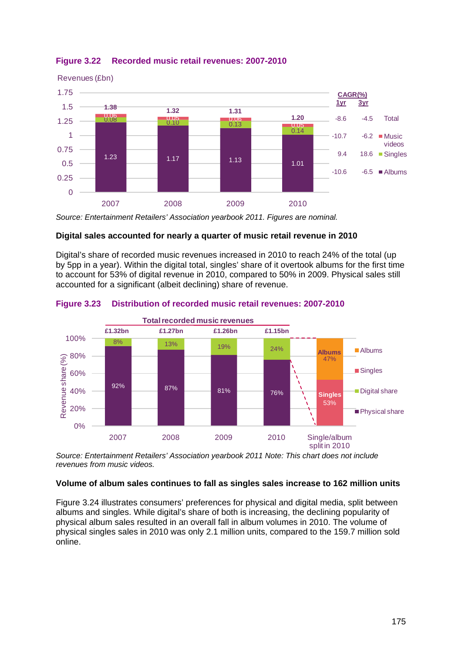

## <span id="page-20-0"></span>**Figure 3.22 Recorded music retail revenues: 2007-2010**

*Source: Entertainment Retailers' Association yearbook 2011. Figures are nominal.* 

## **Digital sales accounted for nearly a quarter of music retail revenue in 2010**

Digital's share of recorded music revenues increased in 2010 to reach 24% of the total (up by 5pp in a year). Within the digital total, singles' share of it overtook albums for the first time to account for 53% of digital revenue in 2010, compared to 50% in 2009. Physical sales still accounted for a significant (albeit declining) share of revenue.



#### **Figure 3.23 Distribution of recorded music retail revenues: 2007-2010**

*Source: Entertainment Retailers' Association yearbook 2011 Note: This chart does not include revenues from music videos.*

#### **Volume of album sales continues to fall as singles sales increase to 162 million units**

[Figure 3.24](#page-21-0) illustrates consumers' preferences for physical and digital media, split between albums and singles. While digital's share of both is increasing, the declining popularity of physical album sales resulted in an overall fall in album volumes in 2010. The volume of physical singles sales in 2010 was only 2.1 million units, compared to the 159.7 million sold online.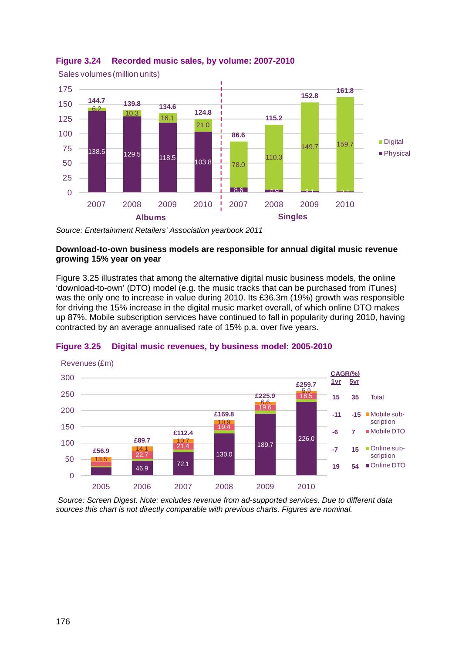

# <span id="page-21-0"></span>**Figure 3.24 Recorded music sales, by volume: 2007-2010**

*Source: Entertainment Retailers' Association yearbook 2011*

#### **Download-to-own business models are responsible for annual digital music revenue growing 15% year on year**

[Figure 3.25](#page-21-1) illustrates that among the alternative digital music business models, the online 'download-to-own' (DTO) model (e.g. the music tracks that can be purchased from iTunes) was the only one to increase in value during 2010. Its £36.3m (19%) growth was responsible for driving the 15% increase in the digital music market overall, of which online DTO makes up 87%. Mobile subscription services have continued to fall in popularity during 2010, having contracted by an average annualised rate of 15% p.a. over five years.



#### <span id="page-21-1"></span>**Figure 3.25 Digital music revenues, by business model: 2005-2010**

*Source: Screen Digest. Note: excludes revenue from ad-supported services. Due to different data sources this chart is not directly comparable with previous charts. Figures are nominal.*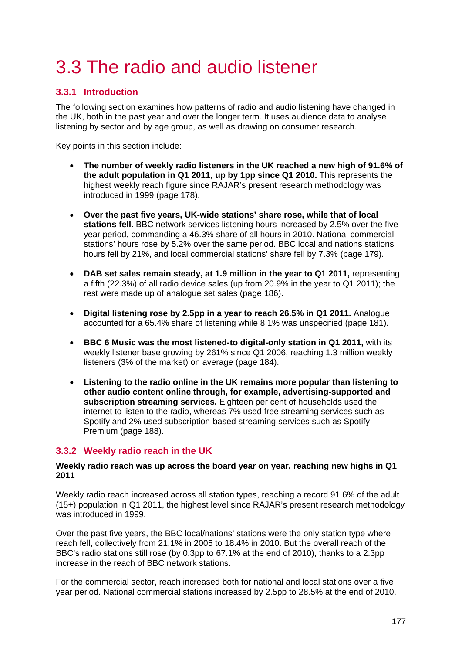# <span id="page-22-0"></span>3.3 The radio and audio listener

# <span id="page-22-1"></span>**3.3.1 Introduction**

The following section examines how patterns of radio and audio listening have changed in the UK, both in the past year and over the longer term. It uses audience data to analyse listening by sector and by age group, as well as drawing on consumer research.

Key points in this section include:

- **The number of weekly radio listeners in the UK reached a new high of 91.6% of the adult population in Q1 2011, up by 1pp since Q1 2010.** This represents the highest weekly reach figure since RAJAR's present research methodology was introduced in 1999 (page [178\)](#page-23-1).
- **Over the past five years, UK-wide stations' share rose, while that of local stations fell.** BBC network services listening hours increased by 2.5% over the fiveyear period, commanding a 46.3% share of all hours in 2010. National commercial stations' hours rose by 5.2% over the same period. BBC local and nations stations' hours fell by 21%, and local commercial stations' share fell by 7.3% (page [179\)](#page-24-0).
- **DAB set sales remain steady, at 1.9 million in the year to Q1 2011,** representing a fifth (22.3%) of all radio device sales (up from 20.9% in the year to Q1 2011); the rest were made up of analogue set sales (page [186\)](#page-31-1).
- **Digital listening rose by 2.5pp in a year to reach 26.5% in Q1 2011.** Analogue accounted for a 65.4% share of listening while 8.1% was unspecified (page [181\)](#page-26-1).
- **BBC 6 Music was the most listened-to digital-only station in Q1 2011,** with its weekly listener base growing by 261% since Q1 2006, reaching 1.3 million weekly listeners (3% of the market) on average (page [184\)](#page-29-1).
- **Listening to the radio online in the UK remains more popular than listening to other audio content online through, for example, advertising-supported and subscription streaming services.** Eighteen per cent of households used the internet to listen to the radio, whereas 7% used free streaming services such as Spotify and 2% used subscription-based streaming services such as Spotify Premium (page [188\)](#page-33-1).

# <span id="page-22-2"></span>**3.3.2 Weekly radio reach in the UK**

#### **Weekly radio reach was up across the board year on year, reaching new highs in Q1 2011**

Weekly radio reach increased across all station types, reaching a record 91.6% of the adult (15+) population in Q1 2011, the highest level since RAJAR's present research methodology was introduced in 1999.

Over the past five years, the BBC local/nations' stations were the only station type where reach fell, collectively from 21.1% in 2005 to 18.4% in 2010. But the overall reach of the BBC's radio stations still rose (by 0.3pp to 67.1% at the end of 2010), thanks to a 2.3pp increase in the reach of BBC network stations.

For the commercial sector, reach increased both for national and local stations over a five year period. National commercial stations increased by 2.5pp to 28.5% at the end of 2010.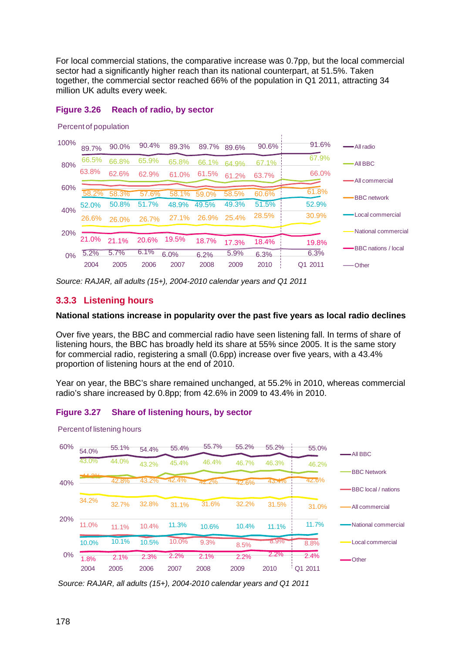For local commercial stations, the comparative increase was 0.7pp, but the local commercial sector had a significantly higher reach than its national counterpart, at 51.5%. Taken together, the commercial sector reached 66% of the population in Q1 2011, attracting 34 million UK adults every week.

### <span id="page-23-1"></span>**Figure 3.26 Reach of radio, by sector**

Percent of population



*Source: RAJAR, all adults (15+), 2004-2010 calendar years and Q1 2011*

# <span id="page-23-0"></span>**3.3.3 Listening hours**

#### **National stations increase in popularity over the past five years as local radio declines**

Over five years, the BBC and commercial radio have seen listening fall. In terms of share of listening hours, the BBC has broadly held its share at 55% since 2005. It is the same story for commercial radio, registering a small (0.6pp) increase over five years, with a 43.4% proportion of listening hours at the end of 2010.

Year on year, the BBC's share remained unchanged, at 55.2% in 2010, whereas commercial radio's share increased by 0.8pp; from 42.6% in 2009 to 43.4% in 2010.

## **Figure 3.27 Share of listening hours, by sector**



Percent of listening hours

*Source: RAJAR, all adults (15+), 2004-2010 calendar years and Q1 2011*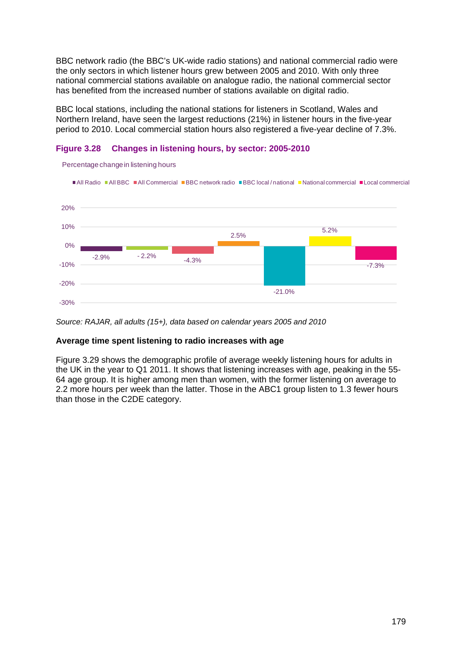BBC network radio (the BBC's UK-wide radio stations) and national commercial radio were the only sectors in which listener hours grew between 2005 and 2010. With only three national commercial stations available on analogue radio, the national commercial sector has benefited from the increased number of stations available on digital radio.

BBC local stations, including the national stations for listeners in Scotland, Wales and Northern Ireland, have seen the largest reductions (21%) in listener hours in the five-year period to 2010. Local commercial station hours also registered a five-year decline of 7.3%.

## <span id="page-24-0"></span>**Figure 3.28 Changes in listening hours, by sector: 2005-2010**



Percentage change in listening hours

#### **Average time spent listening to radio increases with age**

[Figure 3.29](#page-25-1) shows the demographic profile of average weekly listening hours for adults in the UK in the year to Q1 2011. It shows that listening increases with age, peaking in the 55- 64 age group. It is higher among men than women, with the former listening on average to 2.2 more hours per week than the latter. Those in the ABC1 group listen to 1.3 fewer hours than those in the C2DE category.

*Source: RAJAR, all adults (15+), data based on calendar years 2005 and 2010*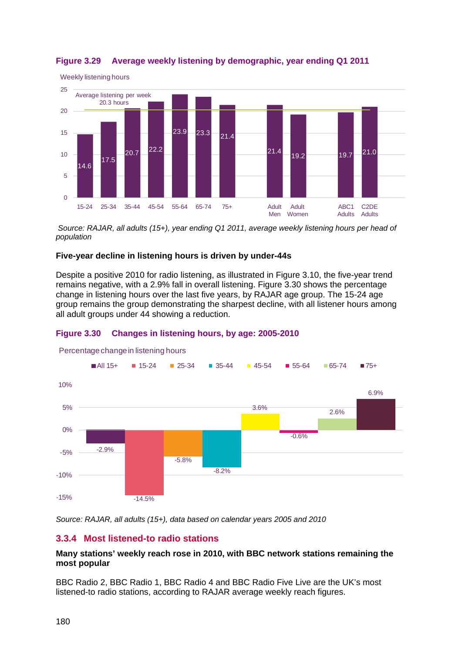

# <span id="page-25-1"></span>**Figure 3.29 Average weekly listening by demographic, year ending Q1 2011**

*Source: RAJAR, all adults (15+), year ending Q1 2011, average weekly listening hours per head of population*

## **Five-year decline in listening hours is driven by under-44s**

Despite a positive 2010 for radio listening, as illustrated in [Figure 3.10,](#page-8-1) the five-year trend remains negative, with a 2.9% fall in overall listening. [Figure 3.30](#page-25-2) shows the percentage change in listening hours over the last five years, by RAJAR age group. The 15-24 age group remains the group demonstrating the sharpest decline, with all listener hours among all adult groups under 44 showing a reduction.

# <span id="page-25-2"></span>**Figure 3.30 Changes in listening hours, by age: 2005-2010**



Percentage change in listening hours

*Source: RAJAR, all adults (15+), data based on calendar years 2005 and 2010*

# <span id="page-25-0"></span>**3.3.4 Most listened-to radio stations**

## **Many stations' weekly reach rose in 2010, with BBC network stations remaining the most popular**

BBC Radio 2, BBC Radio 1, BBC Radio 4 and BBC Radio Five Live are the UK's most listened-to radio stations, according to RAJAR average weekly reach figures.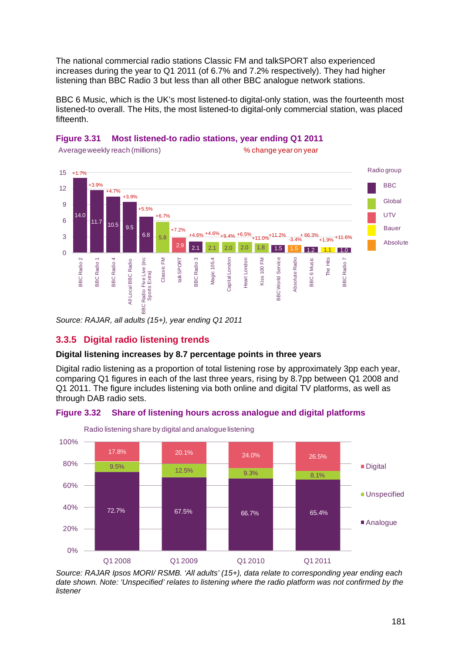The national commercial radio stations Classic FM and talkSPORT also experienced increases during the year to Q1 2011 (of 6.7% and 7.2% respectively). They had higher listening than BBC Radio 3 but less than all other BBC analogue network stations.

BBC 6 Music, which is the UK's most listened-to digital-only station, was the fourteenth most listened-to overall. The Hits, the most listened-to digital-only commercial station, was placed fifteenth.





*Source: RAJAR, all adults (15+), year ending Q1 2011*

# <span id="page-26-0"></span>**3.3.5 Digital radio listening trends**

# **Digital listening increases by 8.7 percentage points in three years**

Digital radio listening as a proportion of total listening rose by approximately 3pp each year, comparing Q1 figures in each of the last three years, rising by 8.7pp between Q1 2008 and Q1 2011. The figure includes listening via both online and digital TV platforms, as well as through DAB radio sets.

# <span id="page-26-1"></span>**Figure 3.32 Share of listening hours across analogue and digital platforms**

![](_page_26_Figure_9.jpeg)

Radio listening share by digital and analogue listening

*Source: RAJAR Ipsos MORI/ RSMB. 'All adults' (15+), data relate to corresponding year ending each date shown. Note: 'Unspecified' relates to listening where the radio platform was not confirmed by the listener*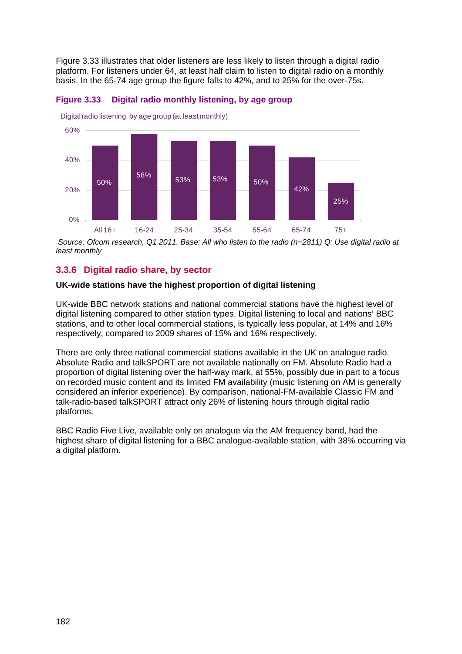[Figure 3.33](#page-27-1) illustrates that older listeners are less likely to listen through a digital radio platform. For listeners under 64, at least half claim to listen to digital radio on a monthly basis. In the 65-74 age group the figure falls to 42%, and to 25% for the over-75s.

![](_page_27_Figure_1.jpeg)

<span id="page-27-1"></span>**Figure 3.33 Digital radio monthly listening, by age group**

*Source: Ofcom research, Q1 2011. Base: All who listen to the radio (n=2811) Q: Use digital radio at least monthly*

# <span id="page-27-0"></span>**3.3.6 Digital radio share, by sector**

## **UK-wide stations have the highest proportion of digital listening**

UK-wide BBC network stations and national commercial stations have the highest level of digital listening compared to other station types. Digital listening to local and nations' BBC stations, and to other local commercial stations, is typically less popular, at 14% and 16% respectively, compared to 2009 shares of 15% and 16% respectively.

There are only three national commercial stations available in the UK on analogue radio. Absolute Radio and talkSPORT are not available nationally on FM. Absolute Radio had a proportion of digital listening over the half-way mark, at 55%, possibly due in part to a focus on recorded music content and its limited FM availability (music listening on AM is generally considered an inferior experience). By comparison, national-FM-available Classic FM and talk-radio-based talkSPORT attract only 26% of listening hours through digital radio platforms.

BBC Radio Five Live, available only on analogue via the AM frequency band, had the highest share of digital listening for a BBC analogue-available station, with 38% occurring via a digital platform.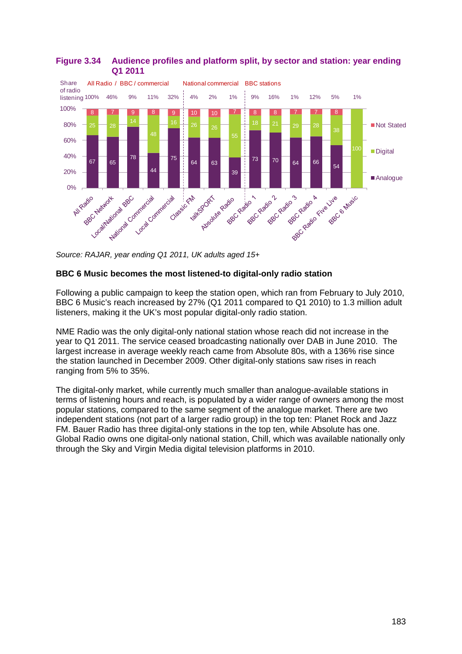![](_page_28_Figure_0.jpeg)

# **Figure 3.34 Audience profiles and platform split, by sector and station: year ending Q1 2011**

# **BBC 6 Music becomes the most listened-to digital-only radio station**

Following a public campaign to keep the station open, which ran from February to July 2010, BBC 6 Music's reach increased by 27% (Q1 2011 compared to Q1 2010) to 1.3 million adult listeners, making it the UK's most popular digital-only radio station.

NME Radio was the only digital-only national station whose reach did not increase in the year to Q1 2011. The service ceased broadcasting nationally over DAB in June 2010. The largest increase in average weekly reach came from Absolute 80s, with a 136% rise since the station launched in December 2009. Other digital-only stations saw rises in reach ranging from 5% to 35%.

The digital-only market, while currently much smaller than analogue-available stations in terms of listening hours and reach, is populated by a wider range of owners among the most popular stations, compared to the same segment of the analogue market. There are two independent stations (not part of a larger radio group) in the top ten: Planet Rock and Jazz FM. Bauer Radio has three digital-only stations in the top ten, while Absolute has one. Global Radio owns one digital-only national station, Chill, which was available nationally only through the Sky and Virgin Media digital television platforms in 2010.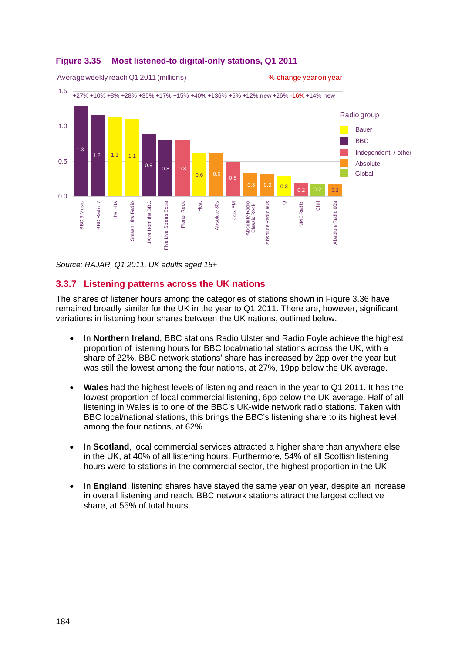![](_page_29_Figure_0.jpeg)

### <span id="page-29-1"></span>**Figure 3.35 Most listened-to digital-only stations, Q1 2011**

Average weekly reach Q1 2011 (millions)  $\frac{1}{2}$  has been also thange year on year

*Source: RAJAR, Q1 2011, UK adults aged 15+*

## <span id="page-29-0"></span>**3.3.7 Listening patterns across the UK nations**

The shares of listener hours among the categories of stations shown in [Figure 3.36](#page-30-1) have remained broadly similar for the UK in the year to Q1 2011. There are, however, significant variations in listening hour shares between the UK nations, outlined below.

- In **Northern Ireland**, BBC stations Radio Ulster and Radio Foyle achieve the highest proportion of listening hours for BBC local/national stations across the UK, with a share of 22%. BBC network stations' share has increased by 2pp over the year but was still the lowest among the four nations, at 27%, 19pp below the UK average.
- **Wales** had the highest levels of listening and reach in the year to Q1 2011. It has the lowest proportion of local commercial listening, 6pp below the UK average. Half of all listening in Wales is to one of the BBC's UK-wide network radio stations. Taken with BBC local/national stations, this brings the BBC's listening share to its highest level among the four nations, at 62%.
- In **Scotland**, local commercial services attracted a higher share than anywhere else in the UK, at 40% of all listening hours. Furthermore, 54% of all Scottish listening hours were to stations in the commercial sector, the highest proportion in the UK.
- In **England**, listening shares have stayed the same year on year, despite an increase in overall listening and reach. BBC network stations attract the largest collective share, at 55% of total hours.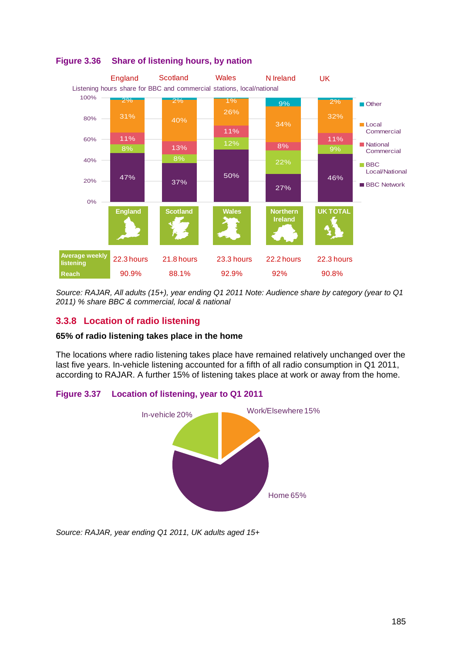![](_page_30_Figure_0.jpeg)

# <span id="page-30-1"></span>**Figure 3.36 Share of listening hours, by nation**

*Source: RAJAR, All adults (15+), year ending Q1 2011 Note: Audience share by category (year to Q1 2011) % share BBC & commercial, local & national*

# <span id="page-30-0"></span>**3.3.8 Location of radio listening**

## **65% of radio listening takes place in the home**

The locations where radio listening takes place have remained relatively unchanged over the last five years. In-vehicle listening accounted for a fifth of all radio consumption in Q1 2011, according to RAJAR. A further 15% of listening takes place at work or away from the home.

# **Figure 3.37 Location of listening, year to Q1 2011**

![](_page_30_Figure_7.jpeg)

*Source: RAJAR, year ending Q1 2011, UK adults aged 15+*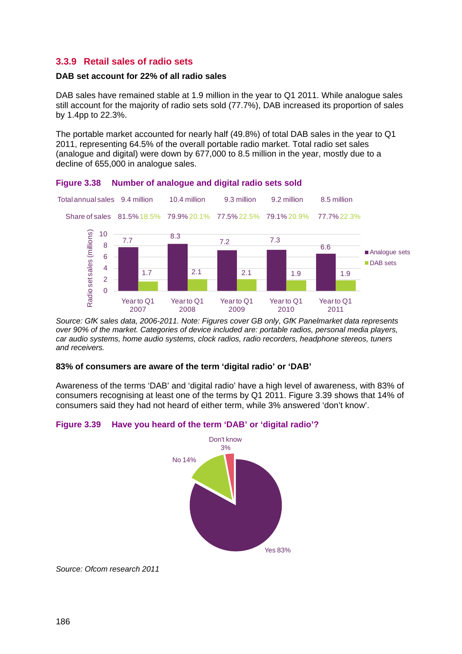# <span id="page-31-0"></span>**3.3.9 Retail sales of radio sets**

#### **DAB set account for 22% of all radio sales**

DAB sales have remained stable at 1.9 million in the year to Q1 2011. While analogue sales still account for the majority of radio sets sold (77.7%), DAB increased its proportion of sales by 1.4pp to 22.3%.

The portable market accounted for nearly half (49.8%) of total DAB sales in the year to Q1 2011, representing 64.5% of the overall portable radio market. Total radio set sales (analogue and digital) were down by 677,000 to 8.5 million in the year, mostly due to a decline of 655,000 in analogue sales.

![](_page_31_Figure_4.jpeg)

#### <span id="page-31-1"></span>**Figure 3.38 Number of analogue and digital radio sets sold**

*Source: GfK sales data, 2006-2011. Note: Figures cover GB only, GfK Panelmarket data represents over 90% of the market. Categories of device included are: portable radios, personal media players, car audio systems, home audio systems, clock radios, radio recorders, headphone stereos, tuners and receivers.*

#### **83% of consumers are aware of the term 'digital radio' or 'DAB'**

Awareness of the terms 'DAB' and 'digital radio' have a high level of awareness, with 83% of consumers recognising at least one of the terms by Q1 2011. [Figure 3.39](#page-31-2) shows that 14% of consumers said they had not heard of either term, while 3% answered 'don't know'.

## <span id="page-31-2"></span>**Figure 3.39 Have you heard of the term 'DAB' or 'digital radio'?**

![](_page_31_Figure_10.jpeg)

*Source: Ofcom research 2011*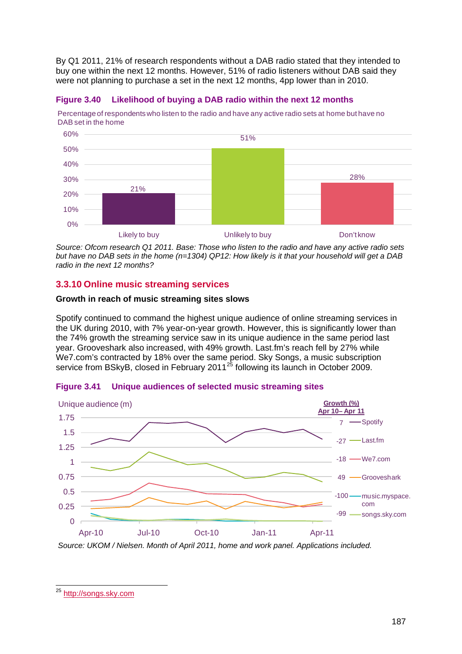By Q1 2011, 21% of research respondents without a DAB radio stated that they intended to buy one within the next 12 months. However, 51% of radio listeners without DAB said they were not planning to purchase a set in the next 12 months, 4pp lower than in 2010.

![](_page_32_Figure_1.jpeg)

Percentage of respondents who listen to the radio and have any active radio sets at home but have no DAB set in the home

![](_page_32_Figure_3.jpeg)

*Source: Ofcom research Q1 2011. Base: Those who listen to the radio and have any active radio sets but have no DAB sets in the home (n=1304) QP12: How likely is it that your household will get a DAB radio in the next 12 months?*

# <span id="page-32-0"></span>**3.3.10 Online music streaming services**

## **Growth in reach of music streaming sites slows**

Spotify continued to command the highest unique audience of online streaming services in the UK during 2010, with 7% year-on-year growth. However, this is significantly lower than the 74% growth the streaming service saw in its unique audience in the same period last year. Grooveshark also increased, with 49% growth. Last.fm's reach fell by 27% while We7.com's contracted by 18% over the same period. Sky Songs, a music subscription service from BSkyB, closed in February 2011<sup>[25](#page-32-1)</sup> following its launch in October 2009.

![](_page_32_Figure_8.jpeg)

**Figure 3.41 Unique audiences of selected music streaming sites**

*Source: UKOM / Nielsen. Month of April 2011, home and work panel. Applications included.*

<span id="page-32-1"></span> $\overline{\phantom{a}}$ <sup>25</sup> [http://songs.sky.com](http://songs.sky.com/)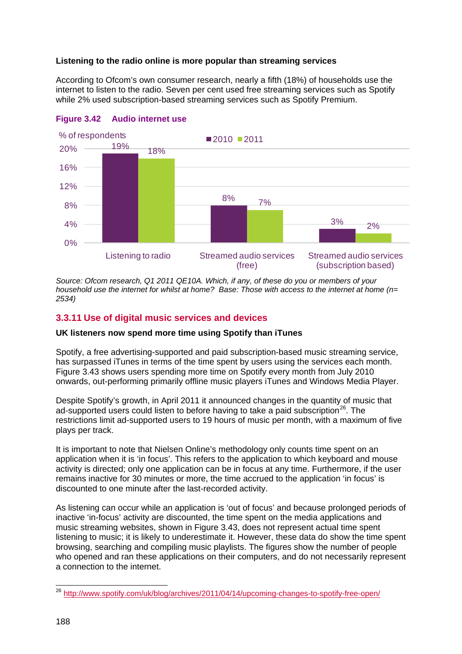## **Listening to the radio online is more popular than streaming services**

According to Ofcom's own consumer research, nearly a fifth (18%) of households use the internet to listen to the radio. Seven per cent used free streaming services such as Spotify while 2% used subscription-based streaming services such as Spotify Premium.

![](_page_33_Figure_2.jpeg)

<span id="page-33-1"></span>![](_page_33_Figure_3.jpeg)

*Source: Ofcom research, Q1 2011 QE10A. Which, if any, of these do you or members of your household use the internet for whilst at home? Base: Those with access to the internet at home (n= 2534)*

# <span id="page-33-0"></span>**3.3.11 Use of digital music services and devices**

## **UK listeners now spend more time using Spotify than iTunes**

Spotify, a free advertising-supported and paid subscription-based music streaming service, has surpassed iTunes in terms of the time spent by users using the services each month. [Figure 3.43](#page-34-0) shows users spending more time on Spotify every month from July 2010 onwards, out-performing primarily offline music players iTunes and Windows Media Player.

Despite Spotify's growth, in April 2011 it announced changes in the quantity of music that ad-supported users could listen to before having to take a paid subscription<sup>[26](#page-33-2)</sup>. The restrictions limit ad-supported users to 19 hours of music per month, with a maximum of five plays per track.

It is important to note that Nielsen Online's methodology only counts time spent on an application when it is 'in focus'. This refers to the application to which keyboard and mouse activity is directed; only one application can be in focus at any time. Furthermore, if the user remains inactive for 30 minutes or more, the time accrued to the application 'in focus' is discounted to one minute after the last-recorded activity.

As listening can occur while an application is 'out of focus' and because prolonged periods of inactive 'in-focus' activity are discounted, the time spent on the media applications and music streaming websites, shown in [Figure 3.43,](#page-34-0) does not represent actual time spent listening to music; it is likely to underestimate it. However, these data do show the time spent browsing, searching and compiling music playlists. The figures show the number of people who opened and ran these applications on their computers, and do not necessarily represent a connection to the internet.

<span id="page-33-2"></span> $\overline{\phantom{a}}$ <sup>26</sup> <http://www.spotify.com/uk/blog/archives/2011/04/14/upcoming-changes-to-spotify-free-open/>